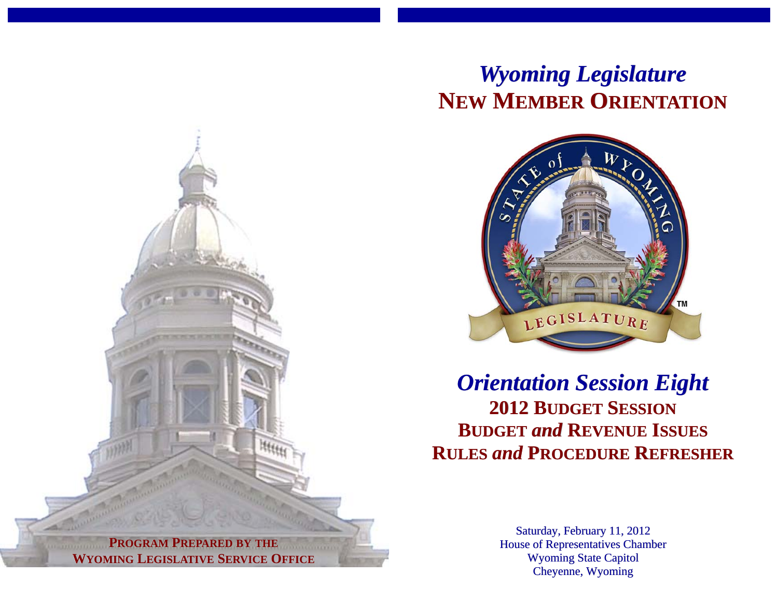# *Wyoming Legislature* **NEW MEMBER ORIENTATION**



*Orientation Session Eight* **2012 BUDGET SESSIONBUDGET** *and* **REVENUE ISSUES RULES** *and* **PROCEDURE REFRESHER**

> Saturday, February 11, 2012 House of Representatives Chamber Wyoming State Capitol Cheyenne, Wyoming

**PROGRAM PREPARED BY THE WYOMING LEGISLATIVE SERVICE OFFICE**